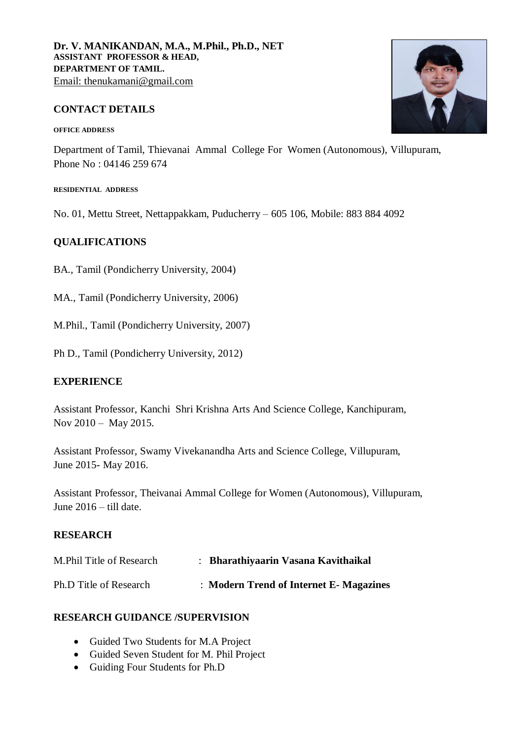# **CONTACT DETAILS**

#### **OFFICE ADDRESS**

Department of Tamil, Thievanai Ammal College For Women (Autonomous), Villupuram, Phone No : [04146 259 674](https://www.google.com/search?q=tacw+contact+number&rlz=1C1CHBD_enIN939IN939&oq=tacw+cont&aqs=chrome.0.0j69i57j69i60l3.12934j0j4&sourceid=chrome&ie=UTF-8)

#### **RESIDENTIAL ADDRESS**

No. 01, Mettu Street, Nettappakkam, Puducherry – 605 106, Mobile: 883 884 4092

# **QUALIFICATIONS**

BA., Tamil (Pondicherry University, 2004)

MA., Tamil (Pondicherry University, 2006)

M.Phil., Tamil (Pondicherry University, 2007)

Ph D., Tamil (Pondicherry University, 2012)

#### **EXPERIENCE**

Assistant Professor, Kanchi Shri Krishna Arts And Science College, Kanchipuram, Nov 2010 – May 2015.

Assistant Professor, Swamy Vivekanandha Arts and Science College, Villupuram, June 2015- May 2016.

Assistant Professor, Theivanai Ammal College for Women (Autonomous), Villupuram, June 2016 – till date.

# **RESEARCH**

| M. Phil Title of Research | Bharathiyaarin Vasana Kavithaikal      |
|---------------------------|----------------------------------------|
| Ph.D Title of Research    | : Modern Trend of Internet E-Magazines |

#### **RESEARCH GUIDANCE /SUPERVISION**

- Guided Two Students for M.A Project
- Guided Seven Student for M. Phil Project
- Guiding Four Students for Ph.D

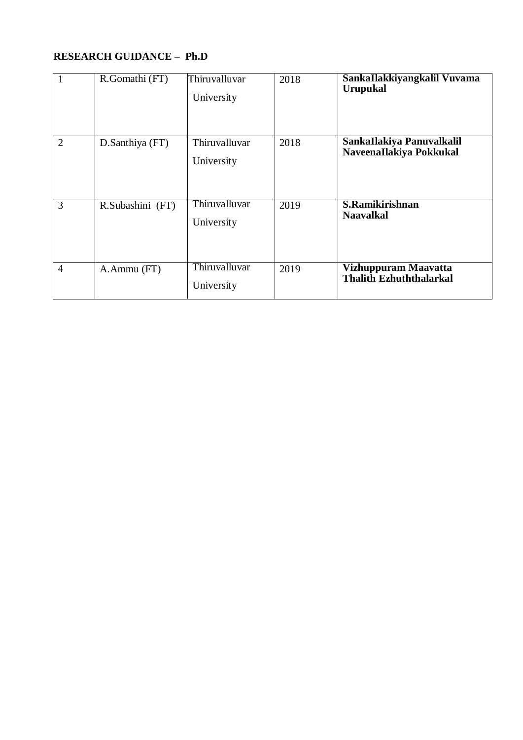# **RESEARCH GUIDANCE – Ph.D**

|                | R.Gomathi (FT)   | Thiruvalluvar<br>University | 2018 | SankaIlakkiyangkalil Vuvama<br><b>Urupukal</b>       |
|----------------|------------------|-----------------------------|------|------------------------------------------------------|
| $\overline{2}$ | D.Santhiya (FT)  | Thiruvalluvar<br>University | 2018 | SankaIlakiya Panuvalkalil<br>NaveenaIlakiya Pokkukal |
| 3              | R.Subashini (FT) | Thiruvalluvar<br>University | 2019 | S.Ramikirishnan<br><b>Naavalkal</b>                  |
| $\overline{4}$ | A.Ammu (FT)      | Thiruvalluvar<br>University | 2019 | Vizhuppuram Maavatta<br>Thalith Ezhuththalarkal      |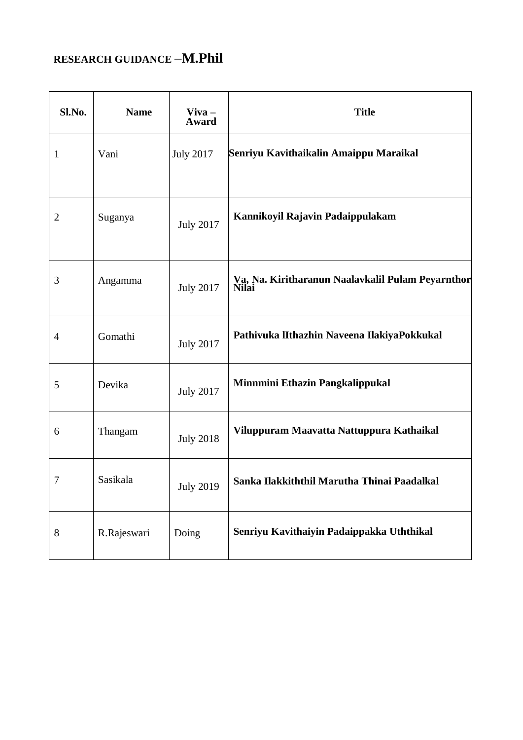# **RESEARCH GUIDANCE** –**M.Phil**

| Sl.No.       | <b>Name</b> | $V$ iva $-$<br>Award | <b>Title</b>                                               |
|--------------|-------------|----------------------|------------------------------------------------------------|
| $\mathbf{1}$ | Vani        | <b>July 2017</b>     | Senriyu Kavithaikalin Amaippu Maraikal                     |
| 2            | Suganya     | <b>July 2017</b>     | Kannikoyil Rajavin Padaippulakam                           |
| 3            | Angamma     | <b>July 2017</b>     | Va, Na. Kiritharanun Naalavkalil Pulam Peyarnthor<br>Nilai |
| 4            | Gomathi     | <b>July 2017</b>     | Pathivuka IIthazhin Naveena IlakiyaPokkukal                |
| 5            | Devika      | <b>July 2017</b>     | Minnmini Ethazin Pangkalippukal                            |
| 6            | Thangam     | <b>July 2018</b>     | Viluppuram Maavatta Nattuppura Kathaikal                   |
| 7            | Sasikala    | July 2019            | Sanka Ilakkiththil Marutha Thinai Paadalkal                |
| 8            | R.Rajeswari | Doing                | Senriyu Kavithaiyin Padaippakka Uththikal                  |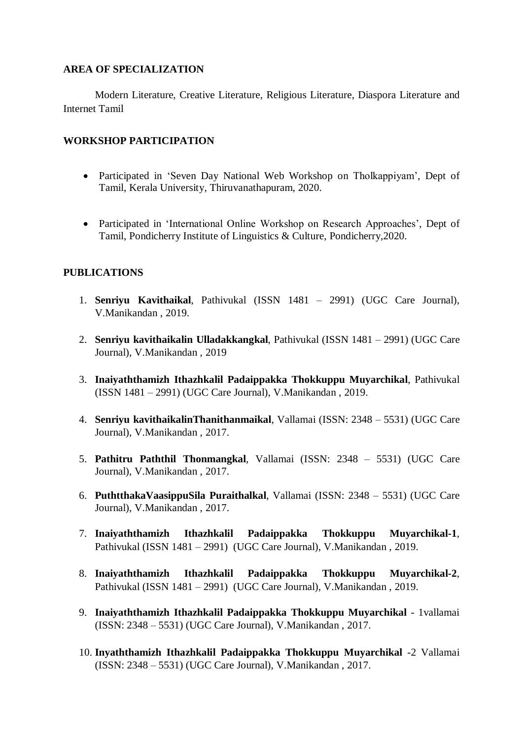#### **AREA OF SPECIALIZATION**

Modern Literature, Creative Literature, Religious Literature, Diaspora Literature and Internet Tamil

# **WORKSHOP PARTICIPATION**

- Participated in 'Seven Day National Web Workshop on Tholkappiyam', Dept of Tamil, Kerala University, Thiruvanathapuram, 2020.
- Participated in 'International Online Workshop on Research Approaches', Dept of Tamil, Pondicherry Institute of Linguistics & Culture, Pondicherry,2020.

# **PUBLICATIONS**

- 1. **Senriyu Kavithaikal**, Pathivukal (ISSN 1481 2991) (UGC Care Journal), V.Manikandan , 2019.
- 2. **Senriyu kavithaikalin Ulladakkangkal**, Pathivukal (ISSN 1481 2991) (UGC Care Journal), V.Manikandan , 2019
- 3. **Inaiyaththamizh Ithazhkalil Padaippakka Thokkuppu Muyarchikal**, Pathivukal (ISSN 1481 – 2991) (UGC Care Journal), V.Manikandan , 2019.
- 4. **Senriyu kavithaikalinThanithanmaikal**, Vallamai (ISSN: 2348 5531) (UGC Care Journal), V.Manikandan , 2017.
- 5. **Pathitru Paththil Thonmangkal**, Vallamai (ISSN: 2348 5531) (UGC Care Journal), V.Manikandan , 2017.
- 6. **PuthtthakaVaasippuSila Puraithalkal**, Vallamai (ISSN: 2348 5531) (UGC Care Journal), V.Manikandan , 2017.
- 7. **Inaiyaththamizh Ithazhkalil Padaippakka Thokkuppu Muyarchikal-1**, Pathivukal (ISSN 1481 – 2991) (UGC Care Journal), V.Manikandan , 2019.
- 8. **Inaiyaththamizh Ithazhkalil Padaippakka Thokkuppu Muyarchikal-2**, Pathivukal (ISSN 1481 – 2991) (UGC Care Journal), V.Manikandan , 2019.
- 9. **Inaiyaththamizh Ithazhkalil Padaippakka Thokkuppu Muyarchikal** 1vallamai (ISSN: 2348 – 5531) (UGC Care Journal), V.Manikandan , 2017.
- 10. **Inyaththamizh Ithazhkalil Padaippakka Thokkuppu Muyarchikal** -2 Vallamai (ISSN: 2348 – 5531) (UGC Care Journal), V.Manikandan , 2017.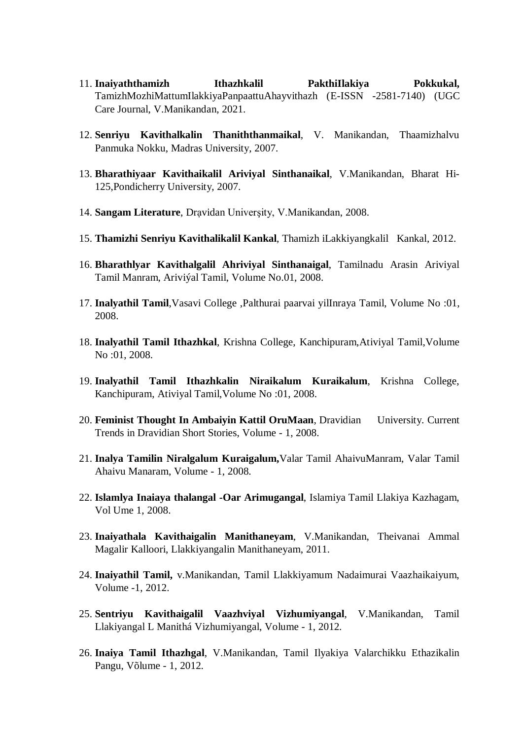- 11. **Inaiyaththamizh Ithazhkalil PakthiIlakiya Pokkukal,**  TamizhMozhiMattumIlakkiyaPanpaattuAhayvithazh (E-ISSN -2581-7140) (UGC Care Journal, V.Manikandan, 2021.
- 12. **Senriyu Kavithalkalin Thaniththanmaikal**, V. Manikandan, Thaamizhalvu Panmuka Nokku, Madras University, 2007.
- 13. **Bharathiyaar Kavithaikalil Ariviyal Sinthanaikal**, V.Manikandan, Bharat Hi-125,Pondicherry University, 2007.
- 14. **Sangam Literature**, Drạvidan Univerşity, V.Manikandan, 2008.
- 15. **Thamizhi Senriyu Kavithalikalil Kankal**, Thamizh iLakkiyangkalil Kankal, 2012.
- 16. **Bharathlyar Kavithalgalil Ahriviyal Sinthanaigal**, Tamilnadu Arasin Ariviyal Tamil Manram, Ariviýal Tamil, Volume No.01, 2008.
- 17. **Inalyathil Tamil**,Vasavi College ,Palthurai paarvai yilInraya Tamil, Volume No :01, 2008.
- 18. **Inalyathil Tamil Ithazhkal**, Krishna College, Kanchipuram,Ativiyal Tamil,Volume No :01, 2008.
- 19. **Inalyathil Tamil Ithazhkalin Niraikalum Kuraikalum**, Krishna College, Kanchipuram, Ativiyal Tamil,Volume No :01, 2008.
- 20. **Feminist Thought In Ambaiyin Kattil OruMaan**, Dravidian University. Current Trends in Dravidian Short Stories, Volume - 1, 2008.
- 21. **Inalya Tamilin Niralgalum Kuraigalum,**Valar Tamil AhaivuManram, Valar Tamil Ahaivu Manaram, Volume - 1, 2008.
- 22. **Islamlya Inaiaya thalangal -Oar Arimugangal**, Islamiya Tamil Llakiya Kazhagam, Vol Ume 1, 2008.
- 23. **Inaiyathala Kavithaigalin Manithaneyam**, V.Manikandan, Theivanai Ammal Magalir Kalloori, Llakkiyangalin Manithaneyam, 2011.
- 24. **Inaiyathil Tamil,** v.Manikandan, Tamil Llakkiyamum Nadaimurai Vaazhaikaiyum, Volume -1, 2012.
- 25. **Sentriyu Kavithaigalil Vaazhviyal Vizhumiyangal**, V.Manikandan, Tamil Llakiyangal L Manithá Vizhumiyangal, Volume - 1, 2012.
- 26. **Inaiya Tamil Ithazhgal**, V.Manikandan, Tamil Ilyakiya Valarchikku Ethazikalin Pangu, Võlume - 1, 2012.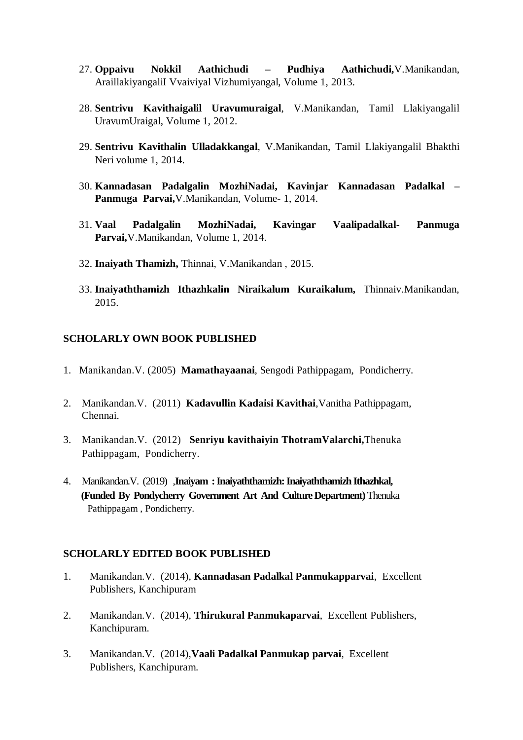- 27. **Oppaivu Nokkil Aathichudi – Pudhiya Aathichudi,**V.Manikandan, AraillakiyangaliI Vvaiviyal Vizhumiyangal, Volume 1, 2013.
- 28. **Sentrivu Kavithaigalil Uravumuraigal**, V.Manikandan, Tamil Llakiyangalil UravumUraigal, Volume 1, 2012.
- 29. **Sentrivu Kavithalin Ulladakkangal**, V.Manikandan, Tamil Llakiyangalil Bhakthi Neri volume 1, 2014.
- 30. **Kannadasan Padalgalin MozhiNadai, Kavinjar Kannadasan Padalkal – Panmuga Parvai,**V.Manikandan, Volume- 1, 2014.
- 31. **Vaal Padalgalin MozhiNadai, Kavingar Vaalipadalkal- Panmuga Parvai,**V.Manikandan, Volume 1, 2014.
- 32. **Inaiyath Thamizh,** Thinnai, V.Manikandan , 2015.
- 33. **Inaiyaththamizh Ithazhkalin Niraikalum Kuraikalum,** Thinnaiv.Manikandan, 2015.

#### **SCHOLARLY OWN BOOK PUBLISHED**

- 1. Manikandan.V. (2005) **Mamathayaanai***,* Sengodi Pathippagam, Pondicherry.
- 2. Manikandan.V. (2011) **Kadavullin Kadaisi Kavithai**,Vanitha Pathippagam, Chennai.
- 3. Manikandan.V. (2012) **Senriyu kavithaiyin ThotramValarchi,**Thenuka Pathippagam, Pondicherry.
- 4. Manikandan.V. (2019) ,**Inaiyam : Inaiyaththamizh: Inaiyaththamizh Ithazhkal, (Funded By Pondycherry Government Art And Culture Department)** Thenuka Pathippagam , Pondicherry.

#### **SCHOLARLY EDITED BOOK PUBLISHED**

- 1. Manikandan.V. (2014), **Kannadasan Padalkal Panmukapparvai**, Excellent Publishers, Kanchipuram
- 2. Manikandan.V. (2014), **Thirukural Panmukaparvai**, Excellent Publishers, Kanchipuram.
- 3. Manikandan.V. (2014),**Vaali Padalkal Panmukap parvai**, Excellent Publishers, Kanchipuram.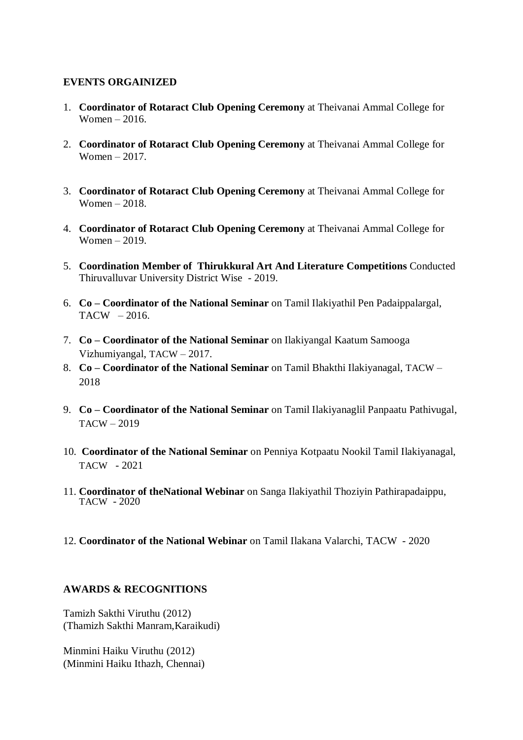### **EVENTS ORGAINIZED**

- 1. **Coordinator of Rotaract Club Opening Ceremony** at Theivanai Ammal College for Women – 2016.
- 2. **Coordinator of Rotaract Club Opening Ceremony** at Theivanai Ammal College for Women – 2017.
- 3. **Coordinator of Rotaract Club Opening Ceremony** at Theivanai Ammal College for Women – 2018.
- 4. **Coordinator of Rotaract Club Opening Ceremony** at Theivanai Ammal College for Women – 2019.
- 5. **Coordination Member of Thirukkural Art And Literature Competitions** Conducted Thiruvalluvar University District Wise - 2019.
- 6. **Co – Coordinator of the National Seminar** on Tamil Ilakiyathil Pen Padaippalargal,  $TACW - 2016.$
- 7. **Co – Coordinator of the National Seminar** on Ilakiyangal Kaatum Samooga Vizhumiyangal, TACW – 2017.
- 8. **Co – Coordinator of the National Seminar** on Tamil Bhakthi Ilakiyanagal, TACW 2018
- 9. **Co – Coordinator of the National Seminar** on Tamil Ilakiyanaglil Panpaatu Pathivugal,  $TACW - 2019$
- 10. **Coordinator of the National Seminar** on Penniya Kotpaatu Nookil Tamil Ilakiyanagal, TACW - 2021
- 11. **Coordinator of theNational Webinar** on Sanga Ilakiyathil Thoziyin Pathirapadaippu, TACW - 2020
- 12. **Coordinator of the National Webinar** on Tamil Ilakana Valarchi, TACW 2020

#### **AWARDS & RECOGNITIONS**

Tamizh Sakthi Viruthu (2012) (Thamizh Sakthi Manram,Karaikudi)

Minmini Haiku Viruthu (2012) (Minmini Haiku Ithazh, Chennai)